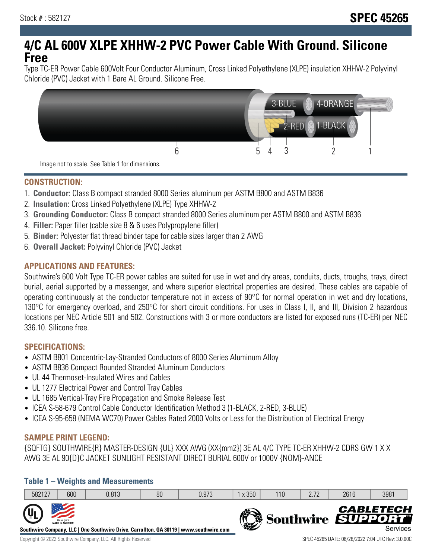# **4/C AL 600V XLPE XHHW-2 PVC Power Cable With Ground. Silicone Free**

Type TC-ER Power Cable 600Volt Four Conductor Aluminum, Cross Linked Polyethylene (XLPE) insulation XHHW-2 Polyvinyl Chloride (PVC) Jacket with 1 Bare AL Ground. Silicone Free.



**CONSTRUCTION:**

- 1. **Conductor:** Class B compact stranded 8000 Series aluminum per ASTM B800 and ASTM B836
- 2. **Insulation:** Cross Linked Polyethylene (XLPE) Type XHHW-2
- 3. **Grounding Conductor:** Class B compact stranded 8000 Series aluminum per ASTM B800 and ASTM B836
- 4. **Filler:** Paper filler (cable size 8 & 6 uses Polypropylene filler)
- 5. **Binder:** Polyester flat thread binder tape for cable sizes larger than 2 AWG
- 6. **Overall Jacket:** Polyvinyl Chloride (PVC) Jacket

## **APPLICATIONS AND FEATURES:**

Southwire's 600 Volt Type TC-ER power cables are suited for use in wet and dry areas, conduits, ducts, troughs, trays, direct burial, aerial supported by a messenger, and where superior electrical properties are desired. These cables are capable of operating continuously at the conductor temperature not in excess of 90°C for normal operation in wet and dry locations, 130°C for emergency overload, and 250°C for short circuit conditions. For uses in Class I, II, and III, Division 2 hazardous locations per NEC Article 501 and 502. Constructions with 3 or more conductors are listed for exposed runs (TC-ER) per NEC 336.10. Silicone free.

### **SPECIFICATIONS:**

- ASTM B801 Concentric-Lay-Stranded Conductors of 8000 Series Aluminum Alloy
- ASTM B836 Compact Rounded Stranded Aluminum Conductors
- UL 44 Thermoset-Insulated Wires and Cables
- UL 1277 Electrical Power and Control Tray Cables
- UL 1685 Vertical-Tray Fire Propagation and Smoke Release Test
- ICEA S-58-679 Control Cable Conductor Identification Method 3 (1-BLACK, 2-RED, 3-BLUE)
- ICEA S-95-658 (NEMA WC70) Power Cables Rated 2000 Volts or Less for the Distribution of Electrical Energy

### **SAMPLE PRINT LEGEND:**

{SQFTG} SOUTHWIRE{R} MASTER-DESIGN {UL} XXX AWG (XX{mm2}) 3E AL 4/C TYPE TC-ER XHHW-2 CDRS GW 1 X X AWG 3E AL 90{D}C JACKET SUNLIGHT RESISTANT DIRECT BURIAL 600V or 1000V {NOM}-ANCE

### **Table 1 – Weights and Measurements**

| 582127 | 600                                     | 0.813                                                                                  | 80 | 0.973 | x 350         | 110 | 2.72 | 2616 | 3981                                                     |
|--------|-----------------------------------------|----------------------------------------------------------------------------------------|----|-------|---------------|-----|------|------|----------------------------------------------------------|
| $7UL$  | We've got it<br><b>MADE IN AMERICA®</b> | Southwire Company, LLC   One Southwire Drive, Carrollton, GA 30119   www.southwire.com |    |       | $\frac{1}{2}$ |     |      |      | <b>CABLETECH</b><br>Southwire SUPPORT<br><b>Services</b> |